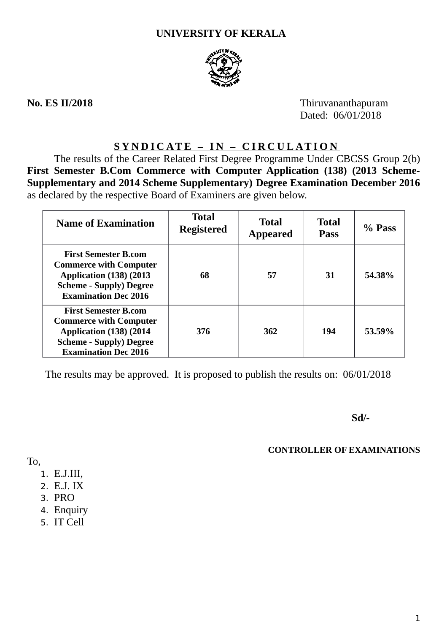# **UNIVERSITY OF KERALA**



**No. ES II/2018** Thiruvananthapuram Dated: 06/01/2018

# **SYNDICATE – IN – CIRCULATION**

The results of the Career Related First Degree Programme Under CBCSS Group 2(b) **First Semester B.Com Commerce with Computer Application (138) (2013 Scheme-Supplementary and 2014 Scheme Supplementary) Degree Examination December 2016** as declared by the respective Board of Examiners are given below.

| <b>Name of Examination</b>                                                                                                                                       | <b>Total</b><br><b>Registered</b> | <b>Total</b><br><b>Appeared</b> | <b>Total</b><br><b>Pass</b> | % Pass |
|------------------------------------------------------------------------------------------------------------------------------------------------------------------|-----------------------------------|---------------------------------|-----------------------------|--------|
| <b>First Semester B.com</b><br><b>Commerce with Computer</b><br><b>Application (138) (2013)</b><br><b>Scheme - Supply) Degree</b><br><b>Examination Dec 2016</b> | 68                                | 57                              | 31                          | 54.38% |
| <b>First Semester B.com</b><br><b>Commerce with Computer</b><br>Application (138) (2014<br><b>Scheme - Supply) Degree</b><br><b>Examination Dec 2016</b>         | 376                               | 362                             | 194                         | 53.59% |

The results may be approved. It is proposed to publish the results on: 06/01/2018

**Sd/-**

## **CONTROLLER OF EXAMINATIONS**

To,

- 1. E.J.III,
- 2. E.J. IX
- 3. PRO
- 4. Enquiry
- 5. IT Cell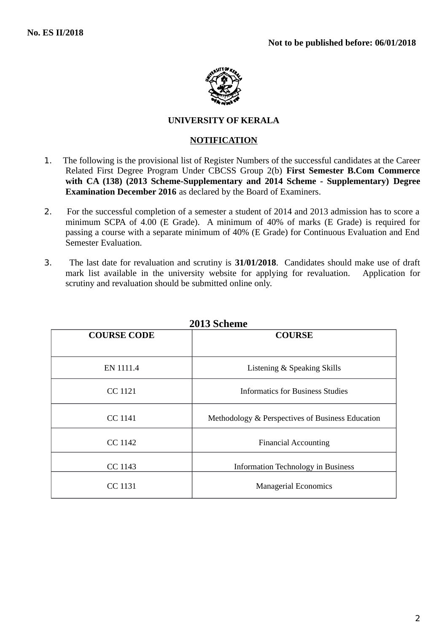

## **UNIVERSITY OF KERALA**

## **NOTIFICATION**

- 1. The following is the provisional list of Register Numbers of the successful candidates at the Career Related First Degree Program Under CBCSS Group 2(b) **First Semester B.Com Commerce with CA (138) (2013 Scheme-Supplementary and 2014 Scheme - Supplementary) Degree Examination December 2016** as declared by the Board of Examiners.
- 2. For the successful completion of a semester a student of 2014 and 2013 admission has to score a minimum SCPA of 4.00 (E Grade). A minimum of 40% of marks (E Grade) is required for passing a course with a separate minimum of 40% (E Grade) for Continuous Evaluation and End Semester Evaluation.
- 3. The last date for revaluation and scrutiny is **31/01/2018**. Candidates should make use of draft mark list available in the university website for applying for revaluation.Application for scrutiny and revaluation should be submitted online only.

| <b>COURSE CODE</b> | <b>COURSE</b>                                    |
|--------------------|--------------------------------------------------|
| EN 1111.4          | Listening & Speaking Skills                      |
| CC 1121            | Informatics for Business Studies                 |
| CC 1141            | Methodology & Perspectives of Business Education |
| CC 1142            | <b>Financial Accounting</b>                      |
| <b>CC 1143</b>     | <b>Information Technology in Business</b>        |
| <b>CC 1131</b>     | <b>Managerial Economics</b>                      |

**2013 Scheme**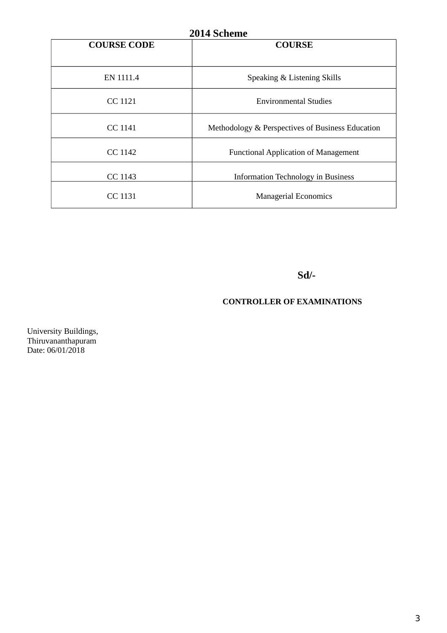| 2014 Scheme        |                                                  |  |  |
|--------------------|--------------------------------------------------|--|--|
| <b>COURSE CODE</b> | <b>COURSE</b>                                    |  |  |
|                    |                                                  |  |  |
| EN 1111.4          | Speaking & Listening Skills                      |  |  |
| CC 1121            | <b>Environmental Studies</b>                     |  |  |
| <b>CC 1141</b>     | Methodology & Perspectives of Business Education |  |  |
| <b>CC 1142</b>     | <b>Functional Application of Management</b>      |  |  |
| <b>CC 1143</b>     | <b>Information Technology in Business</b>        |  |  |
| <b>CC 1131</b>     | <b>Managerial Economics</b>                      |  |  |

**Sd/-**

## **CONTROLLER OF EXAMINATIONS**

University Buildings, Thiruvananthapuram Date: 06/01/2018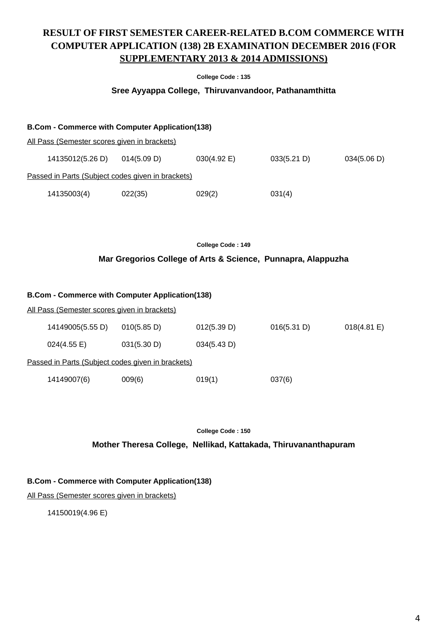# **RESULT OF FIRST SEMESTER CAREER-RELATED B.COM COMMERCE WITH COMPUTER APPLICATION (138) 2B EXAMINATION DECEMBER 2016 (FOR SUPPLEMENTARY 2013 & 2014 ADMISSIONS)**

#### **College Code : 135**

#### **Sree Ayyappa College, Thiruvanvandoor, Pathanamthitta**

| <b>B.Com - Commerce with Computer Application(138)</b> |             |                       |             |             |
|--------------------------------------------------------|-------------|-----------------------|-------------|-------------|
| All Pass (Semester scores given in brackets)           |             |                       |             |             |
| 14135012(5.26 D)                                       | 014(5.09 D) | $030(4.92 \text{ E})$ | 033(5.21 D) | 034(5.06 D) |
| Passed in Parts (Subject codes given in brackets)      |             |                       |             |             |
| 14135003(4)                                            | 022(35)     | 029(2)                | 031(4)      |             |

**College Code : 149**

### **Mar Gregorios College of Arts & Science, Punnapra, Alappuzha**

| <b>B.Com - Commerce with Computer Application(138)</b> |             |             |             |                       |  |  |
|--------------------------------------------------------|-------------|-------------|-------------|-----------------------|--|--|
| All Pass (Semester scores given in brackets)           |             |             |             |                       |  |  |
| 14149005(5.55 D)                                       | 010(5.85 D) | 012(5.39 D) | 016(5.31 D) | $018(4.81 \text{ E})$ |  |  |
| 024(4.55 E)                                            | 031(5.30 D) | 034(5.43 D) |             |                       |  |  |
| Passed in Parts (Subject codes given in brackets)      |             |             |             |                       |  |  |
| 14149007(6)                                            | 009(6)      | 019(1)      | 037(6)      |                       |  |  |

**College Code : 150**

**Mother Theresa College, Nellikad, Kattakada, Thiruvananthapuram**

#### **B.Com - Commerce with Computer Application(138)**

All Pass (Semester scores given in brackets)

14150019(4.96 E)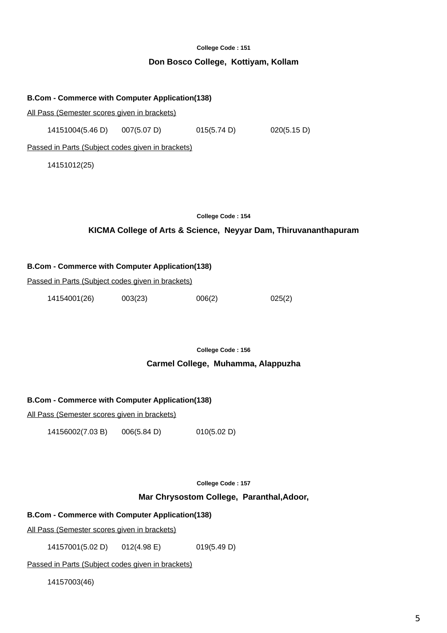### **Don Bosco College, Kottiyam, Kollam**

## **B.Com - Commerce with Computer Application(138)**

All Pass (Semester scores given in brackets)

14151004(5.46 D) 007(5.07 D) 015(5.74 D) 020(5.15 D)

Passed in Parts (Subject codes given in brackets)

14151012(25)

#### **College Code : 154**

## **KICMA College of Arts & Science, Neyyar Dam, Thiruvananthapuram**

#### **B.Com - Commerce with Computer Application(138)**

Passed in Parts (Subject codes given in brackets)

14154001(26) 003(23) 006(2) 025(2)

**College Code : 156**

### **Carmel College, Muhamma, Alappuzha**

#### **B.Com - Commerce with Computer Application(138)**

All Pass (Semester scores given in brackets)

14156002(7.03 B) 006(5.84 D) 010(5.02 D)

**College Code : 157**

## **Mar Chrysostom College, Paranthal,Adoor,**

#### **B.Com - Commerce with Computer Application(138)**

All Pass (Semester scores given in brackets)

14157001(5.02 D) 012(4.98 E) 019(5.49 D)

Passed in Parts (Subject codes given in brackets)

14157003(46)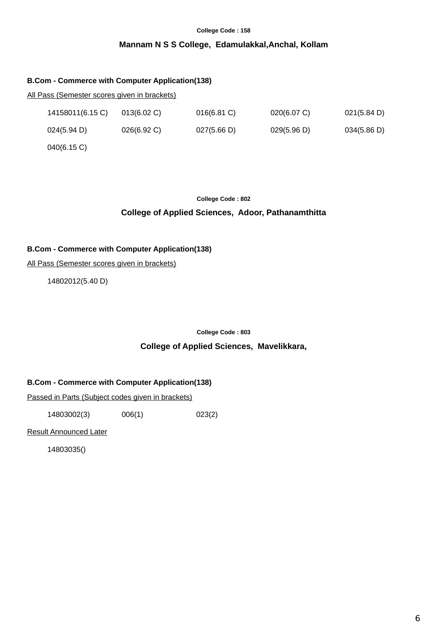## **Mannam N S S College, Edamulakkal,Anchal, Kollam**

#### **B.Com - Commerce with Computer Application(138)**

#### All Pass (Semester scores given in brackets)

| 14158011(6.15 C) | $013(6.02)$ C) | $016(6.81)$ C) | 020(6.07 C) | 021(5.84 D) |
|------------------|----------------|----------------|-------------|-------------|
| 024(5.94 D)      | $026(6.92)$ C) | 027(5.66 D)    | 029(5.96 D) | 034(5.86 D) |
| 040(6.15 C)      |                |                |             |             |

#### **College Code : 802**

## **College of Applied Sciences, Adoor, Pathanamthitta**

## **B.Com - Commerce with Computer Application(138)**

All Pass (Semester scores given in brackets)

14802012(5.40 D)

**College Code : 803**

#### **College of Applied Sciences, Mavelikkara,**

#### **B.Com - Commerce with Computer Application(138)**

Passed in Parts (Subject codes given in brackets)

14803002(3) 006(1) 023(2)

Result Announced Later

14803035()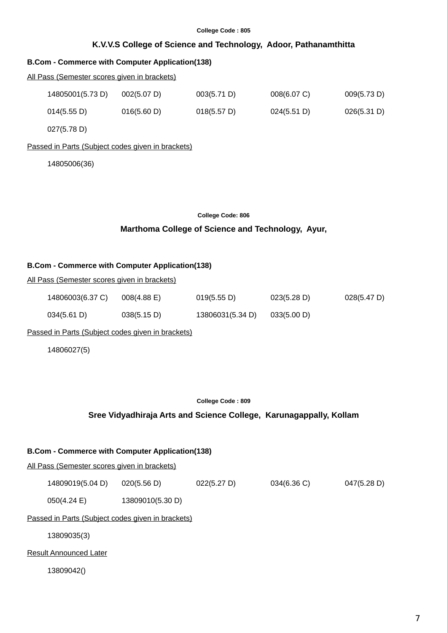## **K.V.V.S College of Science and Technology, Adoor, Pathanamthitta**

## **B.Com - Commerce with Computer Application(138)**

All Pass (Semester scores given in brackets)

| 14805001(5.73 D) | 002(5.07 D) | 003(5.71 D) | $008(6.07)$ C) | 009(5.73 D) |
|------------------|-------------|-------------|----------------|-------------|
| 014(5.55 D)      | 016(5.60 D) | 018(5.57)   | 024(5.51 D)    | 026(5.31 D) |

027(5.78 D)

#### Passed in Parts (Subject codes given in brackets)

14805006(36)

| <b>College Code: 806</b> |  |  |
|--------------------------|--|--|
|--------------------------|--|--|

## **Marthoma College of Science and Technology, Ayur,**

#### **B.Com - Commerce with Computer Application(138)**

| All Pass (Semester scores given in brackets) |
|----------------------------------------------|
|----------------------------------------------|

| 14806003(6.37 C) | $008(4.88)$ E) | 019(5.55 D)      | 023(5.28 D) | 028(5.47 D) |
|------------------|----------------|------------------|-------------|-------------|
| 034(5.61 D)      | 038(5.15 D)    | 13806031(5.34 D) | 033(5.00 D) |             |

Passed in Parts (Subject codes given in brackets)

14806027(5)

**College Code : 809**

#### **Sree Vidyadhiraja Arts and Science College, Karunagappally, Kollam**

#### **B.Com - Commerce with Computer Application(138)**

All Pass (Semester scores given in brackets)

| 14809019(5.04 D) | 020(5.56 D) | 022(5.27 D) | 034(6.36 C) | 047(5.28 D) |
|------------------|-------------|-------------|-------------|-------------|
|------------------|-------------|-------------|-------------|-------------|

050(4.24 E) 13809010(5.30 D)

Passed in Parts (Subject codes given in brackets)

13809035(3)

Result Announced Later

13809042()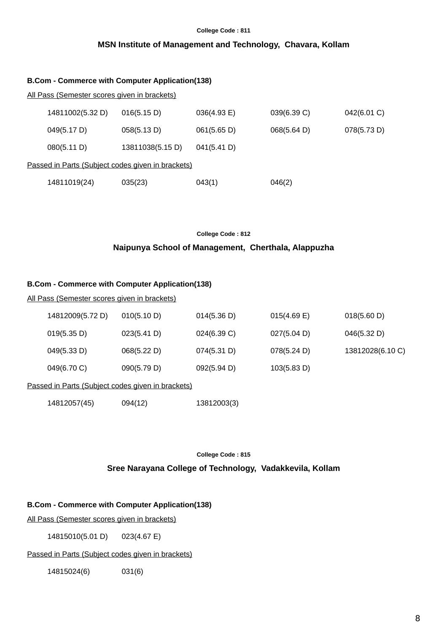## **MSN Institute of Management and Technology, Chavara, Kollam**

| <b>B.Com - Commerce with Computer Application(138)</b> |                  |                |             |             |  |  |  |
|--------------------------------------------------------|------------------|----------------|-------------|-------------|--|--|--|
| <u>All Pass (Semester scores given in brackets)</u>    |                  |                |             |             |  |  |  |
| 14811002(5.32 D)                                       | 016(5.15 D)      | $036(4.93)$ E) | 039(6.39 C) | 042(6.01 C) |  |  |  |
| 049(5.17 D)                                            | 058(5.13 D)      | 061(5.65 D)    | 068(5.64 D) | 078(5.73 D) |  |  |  |
| 080(5.11 D)                                            | 13811038(5.15 D) | 041(5.41 D)    |             |             |  |  |  |
| Passed in Parts (Subject codes given in brackets)      |                  |                |             |             |  |  |  |
| 14811019(24)                                           | 035(23)          | 043(1)         | 046(2)      |             |  |  |  |

**College Code : 812**

## **Naipunya School of Management, Cherthala, Alappuzha**

## **B.Com - Commerce with Computer Application(138)**

#### All Pass (Semester scores given in brackets)

| 14812009(5.72 D) | 010(5.10 D)                                     | 014(5.36 D) | $015(4.69)$ E) | 018(5.60 D)      |
|------------------|-------------------------------------------------|-------------|----------------|------------------|
| 019(5.35 D)      | 023(5.41 D)                                     | 024(6.39 C) | 027(5.04 D)    | 046(5.32 D)      |
| 049(5.33 D)      | 068(5.22 D)                                     | 074(5.31 D) | 078(5.24 D)    | 13812028(6.10 C) |
| 049(6.70 C)      | 090(5.79 D)                                     | 092(5.94 D) | 103(5.83 D)    |                  |
|                  | scod in Darte (Subject codes given in broaketa) |             |                |                  |

## Passed in Parts (Subject codes given in brackets)

| 14812057(45) | 094(12) | 13812003(3) |
|--------------|---------|-------------|
|--------------|---------|-------------|

**College Code : 815**

## **Sree Narayana College of Technology, Vadakkevila, Kollam**

## **B.Com - Commerce with Computer Application(138)**

All Pass (Semester scores given in brackets)

14815010(5.01 D) 023(4.67 E)

## Passed in Parts (Subject codes given in brackets)

14815024(6) 031(6)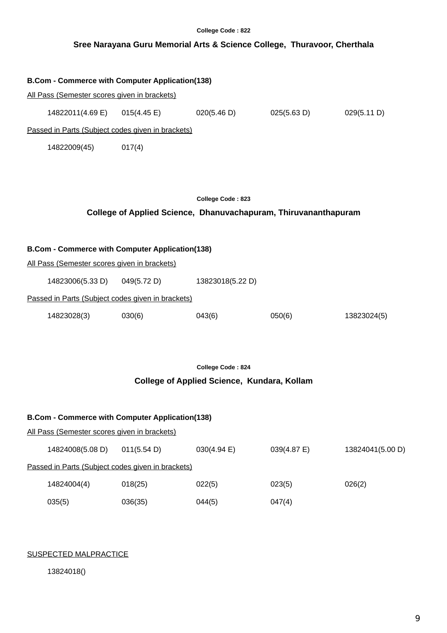|                                                                                                        |                       | College Code: 822                                                                    |             |                  |
|--------------------------------------------------------------------------------------------------------|-----------------------|--------------------------------------------------------------------------------------|-------------|------------------|
|                                                                                                        |                       | Sree Narayana Guru Memorial Arts & Science College, Thuravoor, Cherthala             |             |                  |
| <b>B.Com - Commerce with Computer Application(138)</b>                                                 |                       |                                                                                      |             |                  |
| All Pass (Semester scores given in brackets)                                                           |                       |                                                                                      |             |                  |
| 14822011(4.69 E)                                                                                       | $015(4.45 \text{ E})$ | 020(5.46 D)                                                                          | 025(5.63 D) | 029(5.11 D)      |
| Passed in Parts (Subject codes given in brackets)                                                      |                       |                                                                                      |             |                  |
| 14822009(45)                                                                                           | 017(4)                |                                                                                      |             |                  |
|                                                                                                        |                       | College Code: 823<br>College of Applied Science, Dhanuvachapuram, Thiruvananthapuram |             |                  |
| <b>B.Com - Commerce with Computer Application(138)</b><br>All Pass (Semester scores given in brackets) |                       |                                                                                      |             |                  |
| 14823006(5.33 D)                                                                                       | 049(5.72 D)           | 13823018(5.22 D)                                                                     |             |                  |
| Passed in Parts (Subject codes given in brackets)                                                      |                       |                                                                                      |             |                  |
|                                                                                                        |                       |                                                                                      |             |                  |
| 14823028(3)                                                                                            | 030(6)                | 043(6)                                                                               | 050(6)      | 13823024(5)      |
|                                                                                                        |                       | College Code: 824                                                                    |             |                  |
|                                                                                                        |                       | College of Applied Science, Kundara, Kollam                                          |             |                  |
| <b>B.Com - Commerce with Computer Application(138)</b>                                                 |                       |                                                                                      |             |                  |
| All Pass (Semester scores given in brackets)                                                           |                       |                                                                                      |             |                  |
| 14824008(5.08 D)                                                                                       | 011(5.54 D)           | 030(4.94 E)                                                                          | 039(4.87 E) | 13824041(5.00 D) |

Passed in Parts (Subject codes given in brackets)

| 14824004(4) | 018(25) | 022(5) | 023(5) | 026(2) |
|-------------|---------|--------|--------|--------|
| 035(5)      | 036(35) | 044(5) | 047(4) |        |

#### SUSPECTED MALPRACTICE

13824018()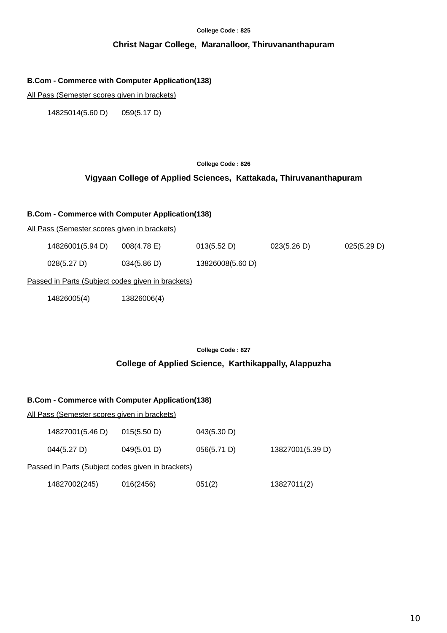## **Christ Nagar College, Maranalloor, Thiruvananthapuram**

#### **B.Com - Commerce with Computer Application(138)**

All Pass (Semester scores given in brackets)

14825014(5.60 D) 059(5.17 D)

#### **College Code : 826**

## **Vigyaan College of Applied Sciences, Kattakada, Thiruvananthapuram**

#### **B.Com - Commerce with Computer Application(138)**

All Pass (Semester scores given in brackets)

| 14826001(5.94 D) | $008(4.78)$ E) | 013(5.52 D)      | 023(5.26 D) | 025(5.29 D) |
|------------------|----------------|------------------|-------------|-------------|
| 028(5.27 D)      | 034(5.86 D)    | 13826008(5.60 D) |             |             |

Passed in Parts (Subject codes given in brackets)

14826005(4) 13826006(4)

**College Code : 827**

**College of Applied Science, Karthikappally, Alappuzha**

## **B.Com - Commerce with Computer Application(138)**

| <u> All Pass (Semester scores given in brackets)</u> |             |             |                  |  |  |
|------------------------------------------------------|-------------|-------------|------------------|--|--|
| 14827001(5.46 D)                                     | 015(5.50 D) | 043(5.30 D) |                  |  |  |
| 044(5.27 D)                                          | 049(5.01 D) | 056(5.71 D) | 13827001(5.39 D) |  |  |
| Passed in Parts (Subject codes given in brackets)    |             |             |                  |  |  |
| 14827002(245)                                        | 016(2456)   | 051(2)      | 13827011(2)      |  |  |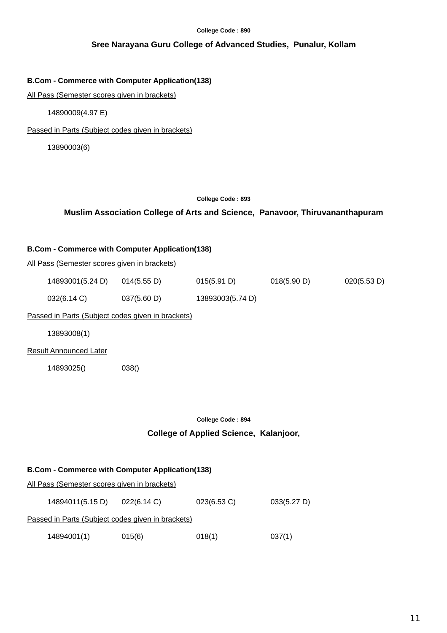## **Sree Narayana Guru College of Advanced Studies, Punalur, Kollam**

## **B.Com - Commerce with Computer Application(138)**

All Pass (Semester scores given in brackets)

14890009(4.97 E)

Passed in Parts (Subject codes given in brackets)

13890003(6)

### **College Code : 893**

## **Muslim Association College of Arts and Science, Panavoor, Thiruvananthapuram**

## **B.Com - Commerce with Computer Application(138)**

All Pass (Semester scores given in brackets)

| 14893001(5.24 D) | 014(5.55 D) | 015(5.91 D) | 018(5.90 D) | 020(5.53 D) |
|------------------|-------------|-------------|-------------|-------------|
|                  |             |             |             |             |

| 032(6.14 C) | 037(5.60 D) | 13893003(5.74 D) |
|-------------|-------------|------------------|
|             |             |                  |

Passed in Parts (Subject codes given in brackets)

13893008(1)

Result Announced Later

14893025() 038()

#### **College Code : 894**

## **College of Applied Science, Kalanjoor,**

## **B.Com - Commerce with Computer Application(138)**

All Pass (Semester scores given in brackets)

14894011(5.15 D) 022(6.14 C) 023(6.53 C) 033(5.27 D)

Passed in Parts (Subject codes given in brackets)

14894001(1) 015(6) 018(1) 037(1)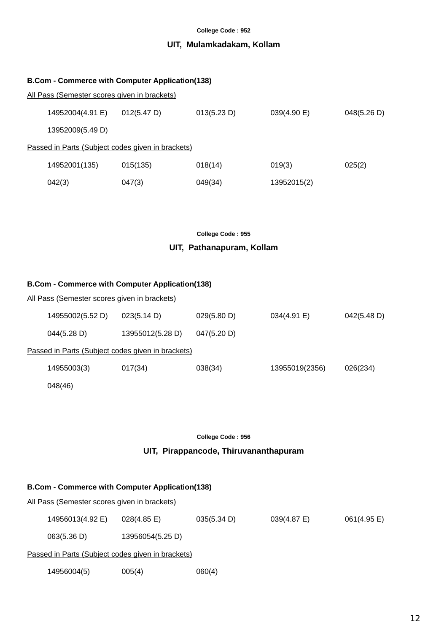## **UIT, Mulamkadakam, Kollam**

| <b>B.Com - Commerce with Computer Application(138)</b> |                                                   |             |             |             |  |
|--------------------------------------------------------|---------------------------------------------------|-------------|-------------|-------------|--|
| All Pass (Semester scores given in brackets)           |                                                   |             |             |             |  |
| 14952004(4.91 E)                                       | 012(5.47 D)                                       | 013(5.23 D) | 039(4.90 E) | 048(5.26 D) |  |
| 13952009(5.49 D)                                       |                                                   |             |             |             |  |
|                                                        | Passed in Parts (Subject codes given in brackets) |             |             |             |  |
| 14952001(135)                                          | 015(135)                                          | 018(14)     | 019(3)      | 025(2)      |  |
| 042(3)                                                 | 047(3)                                            | 049(34)     | 13952015(2) |             |  |

#### **College Code : 955**

## **UIT, Pathanapuram, Kollam**

## **B.Com - Commerce with Computer Application(138)**

| <u>All Pass (Semester scores given in brackets)</u> |                                                   |             |                |             |
|-----------------------------------------------------|---------------------------------------------------|-------------|----------------|-------------|
| 14955002(5.52 D)                                    | 023(5.14 D)                                       | 029(5.80 D) | 034(4.91 E)    | 042(5.48 D) |
| 044(5.28 D)                                         | 13955012(5.28 D)                                  | 047(5.20 D) |                |             |
|                                                     | Passed in Parts (Subject codes given in brackets) |             |                |             |
| 14955003(3)                                         | 017(34)                                           | 038(34)     | 13955019(2356) | 026(234)    |
| 048(46)                                             |                                                   |             |                |             |

#### **College Code : 956**

## **UIT, Pirappancode, Thiruvananthapuram**

| <b>B.Com - Commerce with Computer Application(138)</b> |                                                   |             |             |             |  |
|--------------------------------------------------------|---------------------------------------------------|-------------|-------------|-------------|--|
| All Pass (Semester scores given in brackets)           |                                                   |             |             |             |  |
| 14956013(4.92 E)                                       | $028(4.85 \text{ E})$                             | 035(5.34 D) | 039(4.87 E) | 061(4.95 E) |  |
| 063(5.36 D)                                            | 13956054(5.25 D)                                  |             |             |             |  |
|                                                        | Passed in Parts (Subject codes given in brackets) |             |             |             |  |
| 14956004(5)                                            | 005(4)                                            | 060(4)      |             |             |  |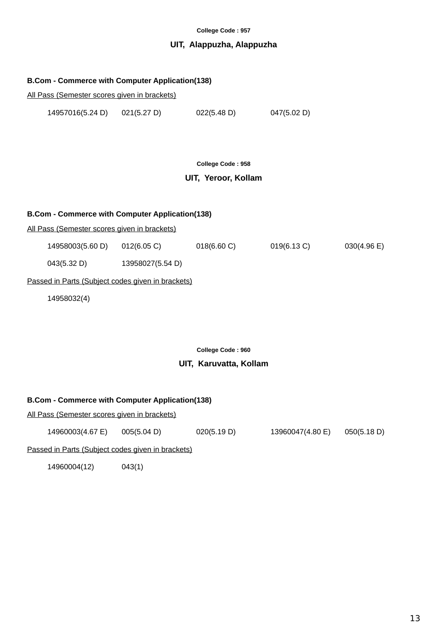## **UIT, Alappuzha, Alappuzha**

#### **B.Com - Commerce with Computer Application(138)**

All Pass (Semester scores given in brackets)

14957016(5.24 D) 021(5.27 D) 022(5.48 D) 047(5.02 D)

**College Code : 958**

## **UIT, Yeroor, Kollam**

## **B.Com - Commerce with Computer Application(138)**

All Pass (Semester scores given in brackets)

|  | 14958003(5.60 D) | $012(6.05)$ C) | 018(6.60 C) | 019(6.13 C) | 030(4.96 E) |
|--|------------------|----------------|-------------|-------------|-------------|
|--|------------------|----------------|-------------|-------------|-------------|

043(5.32 D) 13958027(5.54 D)

## Passed in Parts (Subject codes given in brackets)

14958032(4)

**College Code : 960**

#### **UIT, Karuvatta, Kollam**

#### **B.Com - Commerce with Computer Application(138)**

All Pass (Semester scores given in brackets)

14960003(4.67 E) 005(5.04 D) 020(5.19 D) 13960047(4.80 E) 050(5.18 D)

Passed in Parts (Subject codes given in brackets)

14960004(12) 043(1)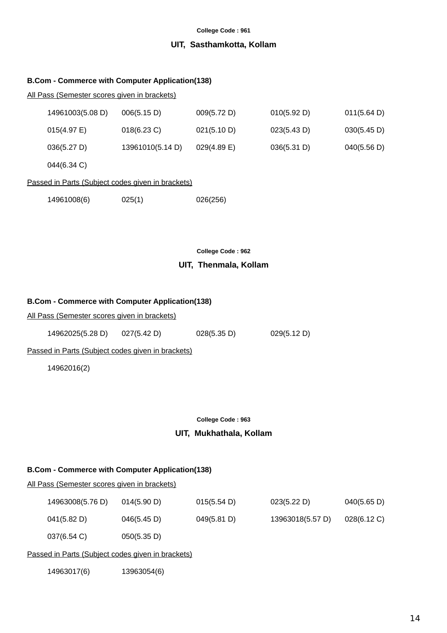### **UIT, Sasthamkotta, Kollam**

#### **B.Com - Commerce with Computer Application(138)**

#### All Pass (Semester scores given in brackets)

| 14961003(5.08 D) | 006(5.15 D)      | 009(5.72 D)    | 010(5.92 D) | 011(5.64)   |
|------------------|------------------|----------------|-------------|-------------|
| $015(4.97)$ E)   | $018(6.23)$ C)   | 021(5.10 D)    | 023(5.43 D) | 030(5.45 D) |
| 036(5.27 D)      | 13961010(5.14 D) | $029(4.89)$ E) | 036(5.31 D) | 040(5.56 D) |
|                  |                  |                |             |             |

044(6.34 C)

## Passed in Parts (Subject codes given in brackets)

| 14961008(6) | 025(1) | 026(256) |
|-------------|--------|----------|
|             |        |          |

**College Code : 962**

#### **UIT, Thenmala, Kollam**

#### **B.Com - Commerce with Computer Application(138)**

All Pass (Semester scores given in brackets)

| 14962025(5.28 D) | 027(5.42 D) | 028(5.35 D) | 029(5.12 D) |
|------------------|-------------|-------------|-------------|
|                  |             |             |             |

Passed in Parts (Subject codes given in brackets)

14962016(2)

#### **College Code : 963**

## **UIT, Mukhathala, Kollam**

#### **B.Com - Commerce with Computer Application(138)**

All Pass (Semester scores given in brackets)

| 14963008(5.76 D) | 014(5.90 D) | 015(5.54 D) | 023(5.22 D)      | 040(5.65 D)    |
|------------------|-------------|-------------|------------------|----------------|
| 041(5.82 D)      | 046(5.45 D) | 049(5.81 D) | 13963018(5.57 D) | $028(6.12)$ C) |
| 037(6.54 C)      | 050(5.35 D) |             |                  |                |

#### Passed in Parts (Subject codes given in brackets)

14963017(6) 13963054(6)